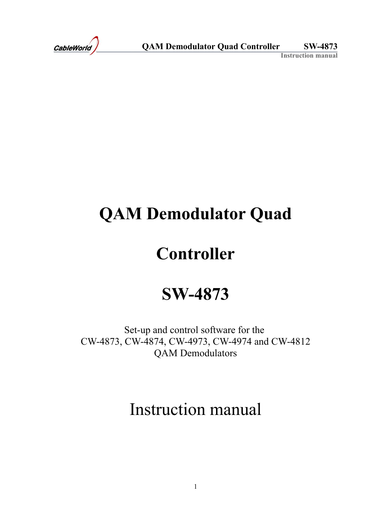# **QAM Demodulator Quad**

## **Controller**

## **SW-4873**

Set-up and control software for the CW-4873, CW-4874, CW-4973, CW-4974 and CW-4812 QAM Demodulators

## Instruction manual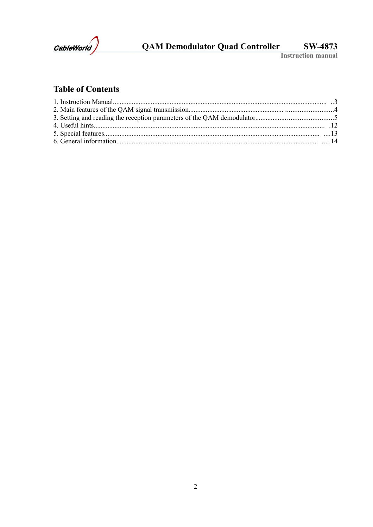

## **Table of Contents**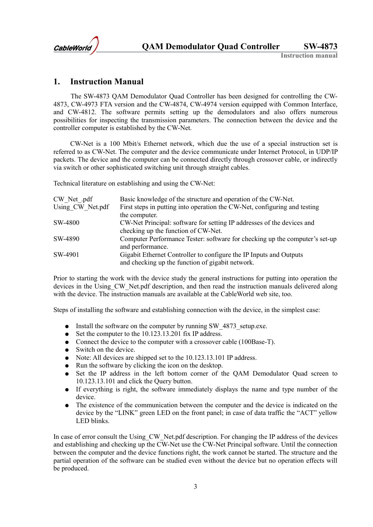

## **1. Instruction Manual**

The SW-4873 QAM Demodulator Quad Controller has been designed for controlling the CW-4873, CW-4973 FTA version and the CW-4874, CW-4974 version equipped with Common Interface, and CW-4812. The software permits setting up the demodulators and also offers numerous possibilities for inspecting the transmission parameters. The connection between the device and the controller computer is established by the CW-Net.

CW-Net is a 100 Mbit/s Ethernet network, which due the use of a special instruction set is referred to as CW-Net. The computer and the device communicate under Internet Protocol, in UDP/IP packets. The device and the computer can be connected directly through crossover cable, or indirectly via switch or other sophisticated switching unit through straight cables.

Technical literature on establishing and using the CW-Net:

| CW Net .pdf      | Basic knowledge of the structure and operation of the CW-Net.               |
|------------------|-----------------------------------------------------------------------------|
| Using CW Net.pdf | First steps in putting into operation the CW-Net, configuring and testing   |
|                  | the computer.                                                               |
| SW-4800          | CW-Net Principal: software for setting IP addresses of the devices and      |
|                  | checking up the function of CW-Net.                                         |
| SW-4890          | Computer Performance Tester: software for checking up the computer's set-up |
|                  | and performance.                                                            |
| SW-4901          | Gigabit Ethernet Controller to configure the IP Inputs and Outputs          |
|                  | and checking up the function of gigabit network.                            |

Prior to starting the work with the device study the general instructions for putting into operation the devices in the Using CW. Net.pdf description, and then read the instruction manuals delivered along with the device. The instruction manuals are available at the CableWorld web site, too.

Steps of installing the software and establishing connection with the device, in the simplest case:

- Install the software on the computer by running SW 4873 setup.exe.
- Set the computer to the 10.123.13.201 fix IP address.
- Connect the device to the computer with a crossover cable (100Base-T).
- Switch on the device.
- Note: All devices are shipped set to the 10.123.13.101 IP address.
- Run the software by clicking the icon on the desktop.
- Set the IP address in the left bottom corner of the QAM Demodulator Quad screen to 10.123.13.101 and click the Query button.
- If everything is right, the software immediately displays the name and type number of the device.
- The existence of the communication between the computer and the device is indicated on the device by the "LINK" green LED on the front panel; in case of data traffic the "ACT" yellow LED blinks.

In case of error consult the Using CW Net.pdf description. For changing the IP address of the devices and establishing and checking up the CW-Net use the CW-Net Principal software. Until the connection between the computer and the device functions right, the work cannot be started. The structure and the partial operation of the software can be studied even without the device but no operation effects will be produced.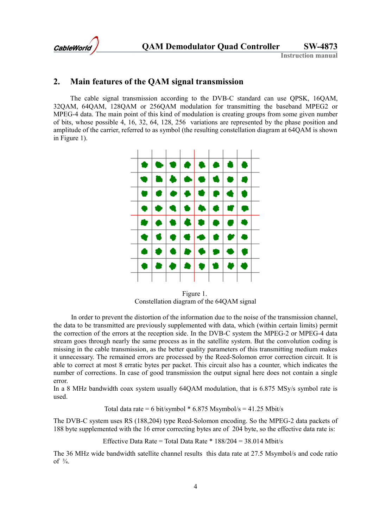

### **2. Main features of the QAM signal transmission**

The cable signal transmission according to the DVB-C standard can use QPSK, 16QAM, 32QAM, 64QAM, 128QAM or 256QAM modulation for transmitting the baseband MPEG2 or MPEG-4 data. The main point of this kind of modulation is creating groups from some given number of bits, whose possible 4, 16, 32, 64, 128, 256 variations are represented by the phase position and amplitude of the carrier, referred to as symbol (the resulting constellation diagram at 64QAM is shown in Figure 1).



Figure 1. Constellation diagram of the 64QAM signal

In order to prevent the distortion of the information due to the noise of the transmission channel, the data to be transmitted are previously supplemented with data, which (within certain limits) permit the correction of the errors at the reception side. In the DVB-C system the MPEG-2 or MPEG-4 data stream goes through nearly the same process as in the satellite system. But the convolution coding is missing in the cable transmission, as the better quality parameters of this transmitting medium makes it unnecessary. The remained errors are processed by the Reed-Solomon error correction circuit. It is able to correct at most 8 erratic bytes per packet. This circuit also has a counter, which indicates the number of corrections. In case of good transmission the output signal here does not contain a single error.

In a 8 MHz bandwidth coax system usually 64QAM modulation, that is 6.875 MSy/s symbol rate is used.

Total data rate = 6 bit/symbol  $*$  6.875 Msymbol/s = 41.25 Mbit/s

The DVB-C system uses RS (188,204) type Reed-Solomon encoding. So the MPEG-2 data packets of 188 byte supplemented with the 16 error correcting bytes are of 204 byte, so the effective data rate is:

Effective Data Rate = Total Data Rate  $*$  188/204 = 38.014 Mbit/s

The 36 MHz wide bandwidth satellite channel results this data rate at 27.5 Msymbol/s and code ratio of  $\frac{3}{4}$ .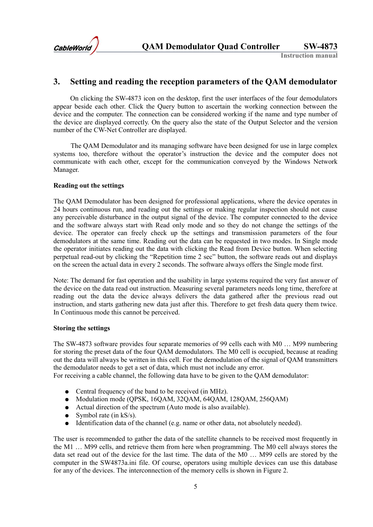

## **3. Setting and reading the reception parameters of the QAM demodulator**

On clicking the SW-4873 icon on the desktop, first the user interfaces of the four demodulators appear beside each other. Click the Query button to ascertain the working connection between the device and the computer. The connection can be considered working if the name and type number of the device are displayed correctly. On the query also the state of the Output Selector and the version number of the CW-Net Controller are displayed.

The QAM Demodulator and its managing software have been designed for use in large complex systems too, therefore without the operator's instruction the device and the computer does not communicate with each other, except for the communication conveyed by the Windows Network Manager.

#### **Reading out the settings**

The QAM Demodulator has been designed for professional applications, where the device operates in 24 hours continuous run, and reading out the settings or making regular inspection should not cause any perceivable disturbance in the output signal of the device. The computer connected to the device and the software always start with Read only mode and so they do not change the settings of the device. The operator can freely check up the settings and transmission parameters of the four demodulators at the same time. Reading out the data can be requested in two modes. In Single mode the operator initiates reading out the data with clicking the Read from Device button. When selecting perpetual read-out by clicking the "Repetition time 2 sec" button, the software reads out and displays on the screen the actual data in every 2 seconds. The software always offers the Single mode first.

Note: The demand for fast operation and the usability in large systems required the very fast answer of the device on the data read out instruction. Measuring several parameters needs long time, therefore at reading out the data the device always delivers the data gathered after the previous read out instruction, and starts gathering new data just after this. Therefore to get fresh data query them twice. In Continuous mode this cannot be perceived.

#### **Storing the settings**

The SW-4873 software provides four separate memories of 99 cells each with M0 … M99 numbering for storing the preset data of the four QAM demodulators. The M0 cell is occupied, because at reading out the data will always be written in this cell. For the demodulation of the signal of QAM transmitters the demodulator needs to get a set of data, which must not include any error.

For receiving a cable channel, the following data have to be given to the QAM demodulator:

- Central frequency of the band to be received (in MHz).
- Modulation mode (QPSK, 16QAM, 32QAM, 64QAM, 128QAM, 256QAM)
- Actual direction of the spectrum (Auto mode is also available).
- Symbol rate (in  $kS/s$ ).
- $\bullet$  Identification data of the channel (e.g. name or other data, not absolutely needed).

The user is recommended to gather the data of the satellite channels to be received most frequently in the M1 … M99 cells, and retrieve them from here when programming. The M0 cell always stores the data set read out of the device for the last time. The data of the M0 … M99 cells are stored by the computer in the SW4873a.ini file. Of course, operators using multiple devices can use this database for any of the devices. The interconnection of the memory cells is shown in Figure 2.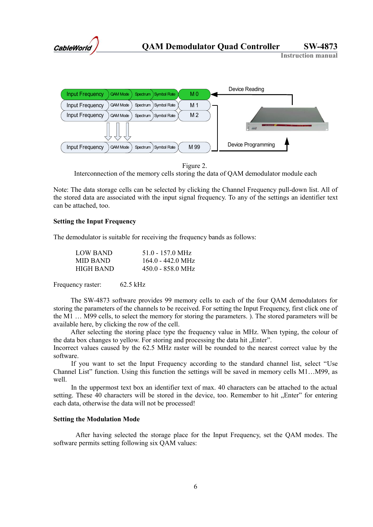



Figure 2.

Interconnection of the memory cells storing the data of QAM demodulator module each

Note: The data storage cells can be selected by clicking the Channel Frequency pull-down list. All of the stored data are associated with the input signal frequency. To any of the settings an identifier text can be attached, too.

#### **Setting the Input Frequency**

The demodulator is suitable for receiving the frequency bands as follows:

| LOW BAND  | 51.0 - 157.0 MHz            |
|-----------|-----------------------------|
| MID BAND  | $164.0 - 442.0 \text{ MHz}$ |
| HIGH BAND | $450.0 - 858.0$ MHz         |

Frequency raster: 62.5 kHz

The SW-4873 software provides 99 memory cells to each of the four QAM demodulators for storing the parameters of the channels to be received. For setting the Input Frequency, first click one of the M1 … M99 cells, to select the memory for storing the parameters. ). The stored parameters will be available here, by clicking the row of the cell.

After selecting the storing place type the frequency value in MHz. When typing, the colour of the data box changes to yellow. For storing and processing the data hit "Enter".

Incorrect values caused by the 62.5 MHz raster will be rounded to the nearest correct value by the software.

If you want to set the Input Frequency according to the standard channel list, select "Use Channel List" function. Using this function the settings will be saved in memory cells M1…M99, as well.

In the uppermost text box an identifier text of max. 40 characters can be attached to the actual setting. These 40 characters will be stored in the device, too. Remember to hit . Enter" for entering each data, otherwise the data will not be processed!

#### **Setting the Modulation Mode**

After having selected the storage place for the Input Frequency, set the QAM modes. The software permits setting following six QAM values: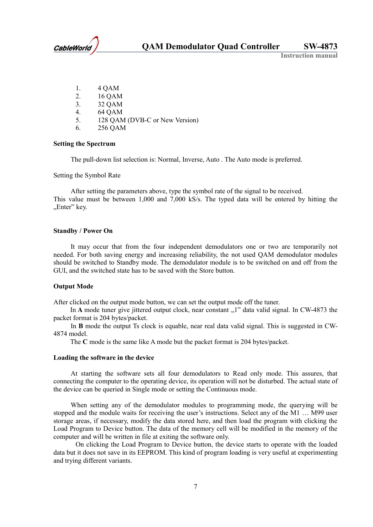

- 1. 4 QAM
- 2. 16 QAM
- 3. 32 QAM
- 4. 64 QAM
- 5. 128 QAM (DVB-C or New Version)
- 6. 256 QAM

#### **Setting the Spectrum**

The pull-down list selection is: Normal, Inverse, Auto . The Auto mode is preferred.

Setting the Symbol Rate

After setting the parameters above, type the symbol rate of the signal to be received. This value must be between 1,000 and 7,000 kS/s. The typed data will be entered by hitting the "Enter" key.

#### **Standby / Power On**

It may occur that from the four independent demodulators one or two are temporarily not needed. For both saving energy and increasing reliability, the not used QAM demodulator modules should be switched to Standby mode. The demodulator module is to be switched on and off from the GUI, and the switched state has to be saved with the Store button.

#### **Output Mode**

After clicked on the output mode button, we can set the output mode off the tuner.

In A mode tuner give jittered output clock, near constant "1" data valid signal. In CW-4873 the packet format is 204 bytes/packet.

In **B** mode the output Ts clock is equable, near real data valid signal. This is suggested in CW-4874 model.

The **C** mode is the same like A mode but the packet format is 204 bytes/packet.

#### **Loading the software in the device**

At starting the software sets all four demodulators to Read only mode. This assures, that connecting the computer to the operating device, its operation will not be disturbed. The actual state of the device can be queried in Single mode or setting the Continuous mode.

When setting any of the demodulator modules to programming mode, the querying will be stopped and the module waits for receiving the user's instructions. Select any of the M1 … M99 user storage areas, if necessary, modify the data stored here, and then load the program with clicking the Load Program to Device button. The data of the memory cell will be modified in the memory of the computer and will be written in file at exiting the software only.

On clicking the Load Program to Device button, the device starts to operate with the loaded data but it does not save in its EEPROM. This kind of program loading is very useful at experimenting and trying different variants.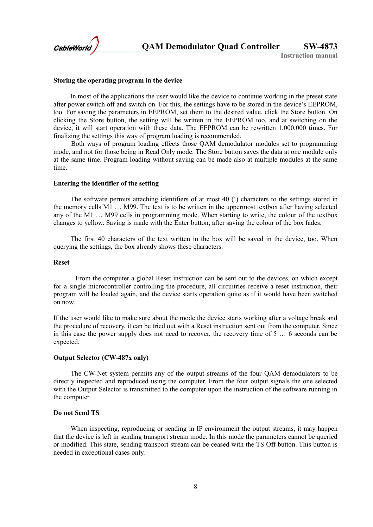

#### **Storing the operating program in the device**

In most of the applications the user would like the device to continue working in the preset state after power switch off and switch on. For this, the settings have to be stored in the device's EEPROM, too. For saving the parameters in EEPROM, set them to the desired value, click the Store button. On clicking the Store button, the setting will be written in the EEPROM too, and at switching on the device, it will start operation with these data. The EEPROM can be rewritten 1,000,000 times. For finalizing the settings this way of program loading is recommended.

Both ways of program loading effects those QAM demodulator modules set to programming mode, and not for those being in Read Only mode. The Store button saves the data at one module only at the same time. Program loading without saving can be made also at multiple modules at the same time.

#### **Entering the identifier of the setting**

The software permits attaching identifiers of at most 40 (!) characters to the settings stored in the memory cells M1 … M99. The text is to be written in the uppermost textbox after having selected any of the M1 … M99 cells in programming mode. When starting to write, the colour of the textbox changes to yellow. Saving is made with the Enter button; after saving the colour of the box fades.

The first 40 characters of the text written in the box will be saved in the device, too. When querying the settings, the box already shows these characters.

#### **Reset**

From the computer a global Reset instruction can be sent out to the devices, on which except for a single microcontroller controlling the procedure, all circuitries receive a reset instruction, their program will be loaded again, and the device starts operation quite as if it would have been switched on now.

If the user would like to make sure about the mode the device starts working after a voltage break and the procedure of recovery, it can be tried out with a Reset instruction sent out from the computer. Since in this case the power supply does not need to recover, the recovery time of 5 … 6 seconds can be expected.

#### **Output Selector (CW-487x only)**

The CW-Net system permits any of the output streams of the four QAM demodulators to be directly inspected and reproduced using the computer. From the four output signals the one selected with the Output Selector is transmitted to the computer upon the instruction of the software running in the computer.

#### **Do not Send TS**

When inspecting, reproducing or sending in IP environment the output streams, it may happen that the device is left in sending transport stream mode. In this mode the parameters cannot be queried or modified. This state, sending transport stream can be ceased with the TS Off button. This button is needed in exceptional cases only.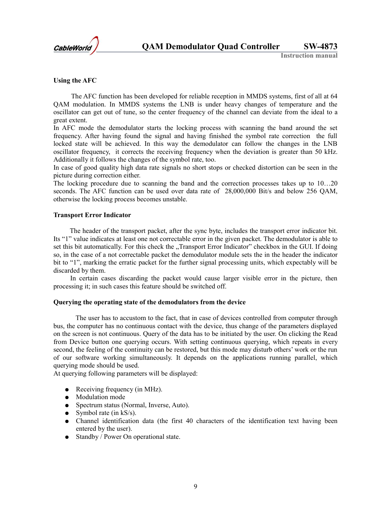

#### **Using the AFC**

The AFC function has been developed for reliable reception in MMDS systems, first of all at 64 QAM modulation. In MMDS systems the LNB is under heavy changes of temperature and the oscillator can get out of tune, so the center frequency of the channel can deviate from the ideal to a great extent.

In AFC mode the demodulator starts the locking process with scanning the band around the set frequency. After having found the signal and having finished the symbol rate correction the full locked state will be achieved. In this way the demodulator can follow the changes in the LNB oscillator frequency, it corrects the receiving frequency when the deviation is greater than 50 kHz. Additionally it follows the changes of the symbol rate, too.

In case of good quality high data rate signals no short stops or checked distortion can be seen in the picture during correction either.

The locking procedure due to scanning the band and the correction processes takes up to 10…20 seconds. The AFC function can be used over data rate of 28,000,000 Bit/s and below 256 QAM, otherwise the locking process becomes unstable.

#### **Transport Error Indicator**

The header of the transport packet, after the sync byte, includes the transport error indicator bit. Its "1" value indicates at least one not correctable error in the given packet. The demodulator is able to set this bit automatically. For this check the "Transport Error Indicator" checkbox in the GUI. If doing so, in the case of a not correctable packet the demodulator module sets the in the header the indicator bit to "1", marking the erratic packet for the further signal processing units, which expectably will be discarded by them.

In certain cases discarding the packet would cause larger visible error in the picture, then processing it; in such cases this feature should be switched off.

#### **Querying the operating state of the demodulators from the device**

The user has to accustom to the fact, that in case of devices controlled from computer through bus, the computer has no continuous contact with the device, thus change of the parameters displayed on the screen is not continuous. Query of the data has to be initiated by the user. On clicking the Read from Device button one querying occurs. With setting continuous querying, which repeats in every second, the feeling of the continuity can be restored, but this mode may disturb others' work or the run of our software working simultaneously. It depends on the applications running parallel, which querying mode should be used.

At querying following parameters will be displayed:

- $\bullet$  Receiving frequency (in MHz).
- Modulation mode
- Spectrum status (Normal, Inverse, Auto).
- Symbol rate (in  $kS/s$ ).
- Channel identification data (the first 40 characters of the identification text having been entered by the user).
- Standby / Power On operational state.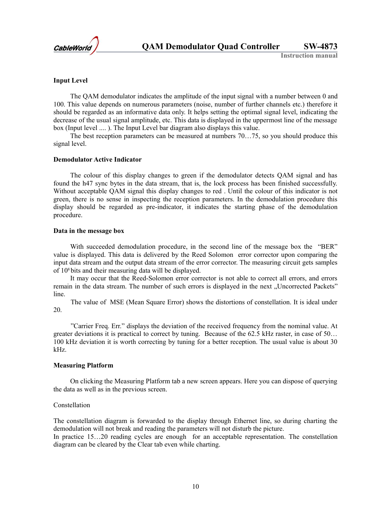

#### **Input Level**

The QAM demodulator indicates the amplitude of the input signal with a number between 0 and 100. This value depends on numerous parameters (noise, number of further channels etc.) therefore it should be regarded as an informative data only. It helps setting the optimal signal level, indicating the decrease of the usual signal amplitude, etc. This data is displayed in the uppermost line of the message box (Input level .... ). The Input Level bar diagram also displays this value.

The best reception parameters can be measured at numbers 70…75, so you should produce this signal level.

#### **Demodulator Active Indicator**

The colour of this display changes to green if the demodulator detects QAM signal and has found the h47 sync bytes in the data stream, that is, the lock process has been finished successfully. Without acceptable QAM signal this display changes to red . Until the colour of this indicator is not green, there is no sense in inspecting the reception parameters. In the demodulation procedure this display should be regarded as pre-indicator, it indicates the starting phase of the demodulation procedure.

#### **Data in the message box**

With succeeded demodulation procedure, in the second line of the message box the "BER" value is displayed. This data is delivered by the Reed Solomon error corrector upon comparing the input data stream and the output data stream of the error corrector. The measuring circuit gets samples of 108 bits and their measuring data will be displayed.

It may occur that the Reed-Solomon error corrector is not able to correct all errors, and errors remain in the data stream. The number of such errors is displayed in the next "Uncorrected Packets" line.

The value of MSE (Mean Square Error) shows the distortions of constellation. It is ideal under 20.

"Carrier Freq. Err." displays the deviation of the received frequency from the nominal value. At greater deviations it is practical to correct by tuning. Because of the 62.5 kHz raster, in case of 50… 100 kHz deviation it is worth correcting by tuning for a better reception. The usual value is about 30 kHz.

#### **Measuring Platform**

On clicking the Measuring Platform tab a new screen appears. Here you can dispose of querying the data as well as in the previous screen.

#### **Constellation**

The constellation diagram is forwarded to the display through Ethernet line, so during charting the demodulation will not break and reading the parameters will not disturb the picture. In practice 15...20 reading cycles are enough for an acceptable representation. The constellation diagram can be cleared by the Clear tab even while charting.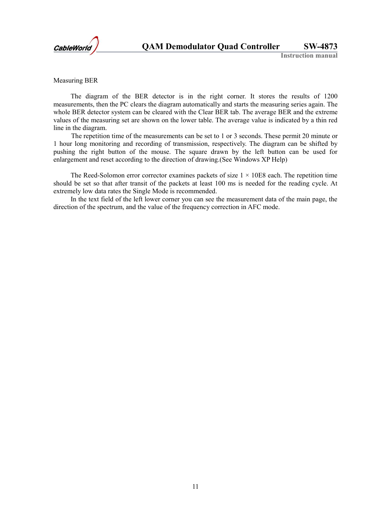

Measuring BER

The diagram of the BER detector is in the right corner. It stores the results of 1200 measurements, then the PC clears the diagram automatically and starts the measuring series again. The whole BER detector system can be cleared with the Clear BER tab. The average BER and the extreme values of the measuring set are shown on the lower table. The average value is indicated by a thin red line in the diagram.

The repetition time of the measurements can be set to 1 or 3 seconds. These permit 20 minute or 1 hour long monitoring and recording of transmission, respectively. The diagram can be shifted by pushing the right button of the mouse. The square drawn by the left button can be used for enlargement and reset according to the direction of drawing.(See Windows XP Help)

The Reed-Solomon error corrector examines packets of size  $1 \times 10E8$  each. The repetition time should be set so that after transit of the packets at least 100 ms is needed for the reading cycle. At extremely low data rates the Single Mode is recommended.

In the text field of the left lower corner you can see the measurement data of the main page, the direction of the spectrum, and the value of the frequency correction in AFC mode.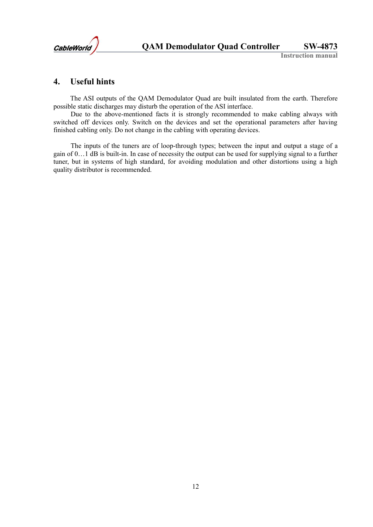

## **4. Useful hints**

The ASI outputs of the QAM Demodulator Quad are built insulated from the earth. Therefore possible static discharges may disturb the operation of the ASI interface.

Due to the above-mentioned facts it is strongly recommended to make cabling always with switched off devices only. Switch on the devices and set the operational parameters after having finished cabling only. Do not change in the cabling with operating devices.

The inputs of the tuners are of loop-through types; between the input and output a stage of a gain of 0…1 dB is built-in. In case of necessity the output can be used for supplying signal to a further tuner, but in systems of high standard, for avoiding modulation and other distortions using a high quality distributor is recommended.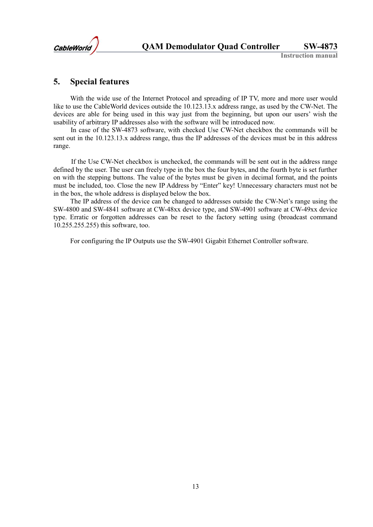

### **5. Special features**

With the wide use of the Internet Protocol and spreading of IP TV, more and more user would like to use the CableWorld devices outside the 10.123.13.x address range, as used by the CW-Net. The devices are able for being used in this way just from the beginning, but upon our users' wish the usability of arbitrary IP addresses also with the software will be introduced now.

In case of the SW-4873 software, with checked Use CW-Net checkbox the commands will be sent out in the 10.123.13.x address range, thus the IP addresses of the devices must be in this address range.

If the Use CW-Net checkbox is unchecked, the commands will be sent out in the address range defined by the user. The user can freely type in the box the four bytes, and the fourth byte is set further on with the stepping buttons. The value of the bytes must be given in decimal format, and the points must be included, too. Close the new IP Address by "Enter" key! Unnecessary characters must not be in the box, the whole address is displayed below the box.

The IP address of the device can be changed to addresses outside the CW-Net's range using the SW-4800 and SW-4841 software at CW-48xx device type, and SW-4901 software at CW-49xx device type. Erratic or forgotten addresses can be reset to the factory setting using (broadcast command 10.255.255.255) this software, too.

For configuring the IP Outputs use the SW-4901 Gigabit Ethernet Controller software.